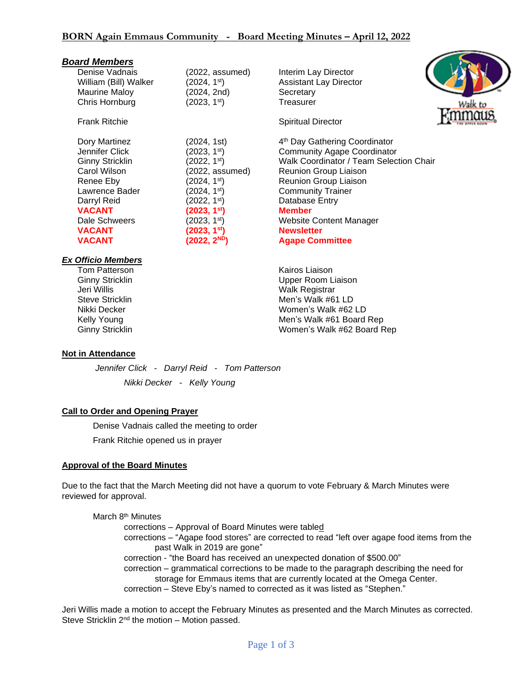| <b>Board Members</b>      |                          |                                           |
|---------------------------|--------------------------|-------------------------------------------|
| Denise Vadnais            | (2022, assumed)          | Interim Lay Director                      |
| William (Bill) Walker     | (2024, 1 <sup>st</sup> ) | <b>Assistant Lay Director</b>             |
| <b>Maurine Maloy</b>      | (2024, 2nd)              | Secretary                                 |
| Chris Hornburg            | (2023, 1 <sup>st</sup> ) | Treasurer<br>Walk to                      |
| <b>Frank Ritchie</b>      |                          | <b>Spiritual Director</b>                 |
| Dory Martinez             | (2024, 1st)              | 4 <sup>th</sup> Day Gathering Coordinator |
| Jennifer Click            | (2023, 1 <sup>st</sup> ) | <b>Community Agape Coordinator</b>        |
| <b>Ginny Stricklin</b>    | (2022, 1 <sup>st</sup> ) | Walk Coordinator / Team Selection Chair   |
| Carol Wilson              | (2022, assumed)          | Reunion Group Liaison                     |
| Renee Eby                 | (2024, 1 <sup>st</sup> ) | Reunion Group Liaison                     |
| Lawrence Bader            | (2024, 1 <sup>st</sup> ) | <b>Community Trainer</b>                  |
| Darryl Reid               | (2022, 1 <sup>st</sup> ) | Database Entry                            |
| <b>VACANT</b>             | (2023, 1 <sup>st</sup> ) | <b>Member</b>                             |
| Dale Schweers             | (2023, 1 <sup>st</sup> ) | <b>Website Content Manager</b>            |
| <b>VACANT</b>             | (2023, 1 <sup>st</sup> ) | <b>Newsletter</b>                         |
| <b>VACANT</b>             | (2022, 2 <sup>ND</sup> ) | <b>Agape Committee</b>                    |
| <b>Ex Officio Members</b> |                          |                                           |
| Tom Patterson             |                          | Kairos Liaison                            |
| <b>Ginny Stricklin</b>    |                          | Upper Room Liaison                        |
| Jeri Willis               |                          | Walk Registrar                            |

~

Steve Stricklin **Men's Walk #61 LD** Nikki Decker Women's Walk #62 LD Kelly Young **Mentally Strategies Accord Men's Walk #61 Board Rep** Ginny Stricklin Women's Walk #62 Board Rep

**Not in Attendance**

*Jennifer Click - Darryl Reid - Tom Patterson*

*Nikki Decker - Kelly Young*

## **Call to Order and Opening Prayer**

Denise Vadnais called the meeting to order Frank Ritchie opened us in prayer

## **Approval of the Board Minutes**

Due to the fact that the March Meeting did not have a quorum to vote February & March Minutes were reviewed for approval.

March 8<sup>th</sup> Minutes corrections – Approval of Board Minutes were tabled corrections – "Agape food stores" are corrected to read "left over agape food items from the past Walk in 2019 are gone" correction - "the Board has received an unexpected donation of \$500.00" correction – grammatical corrections to be made to the paragraph describing the need for storage for Emmaus items that are currently located at the Omega Center. correction – Steve Eby's named to corrected as it was listed as "Stephen."

Jeri Willis made a motion to accept the February Minutes as presented and the March Minutes as corrected. Steve Stricklin 2<sup>nd</sup> the motion – Motion passed.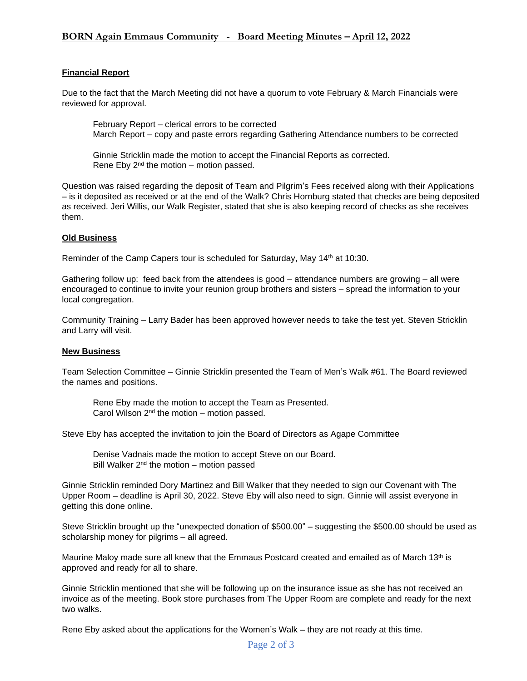## **BORN Again Emmaus Community - Board Meeting Minutes – April 12, 2022**

### **Financial Report**

Due to the fact that the March Meeting did not have a quorum to vote February & March Financials were reviewed for approval.

February Report – clerical errors to be corrected March Report – copy and paste errors regarding Gathering Attendance numbers to be corrected

Ginnie Stricklin made the motion to accept the Financial Reports as corrected. Rene Eby  $2^{nd}$  the motion – motion passed.

Question was raised regarding the deposit of Team and Pilgrim's Fees received along with their Applications – is it deposited as received or at the end of the Walk? Chris Hornburg stated that checks are being deposited as received. Jeri Willis, our Walk Register, stated that she is also keeping record of checks as she receives them.

#### **Old Business**

Reminder of the Camp Capers tour is scheduled for Saturday, May 14<sup>th</sup> at 10:30.

Gathering follow up: feed back from the attendees is good – attendance numbers are growing – all were encouraged to continue to invite your reunion group brothers and sisters – spread the information to your local congregation.

Community Training – Larry Bader has been approved however needs to take the test yet. Steven Stricklin and Larry will visit.

#### **New Business**

Team Selection Committee – Ginnie Stricklin presented the Team of Men's Walk #61. The Board reviewed the names and positions.

Rene Eby made the motion to accept the Team as Presented. Carol Wilson  $2<sup>nd</sup>$  the motion – motion passed.

Steve Eby has accepted the invitation to join the Board of Directors as Agape Committee

Denise Vadnais made the motion to accept Steve on our Board. Bill Walker  $2^{nd}$  the motion – motion passed

Ginnie Stricklin reminded Dory Martinez and Bill Walker that they needed to sign our Covenant with The Upper Room – deadline is April 30, 2022. Steve Eby will also need to sign. Ginnie will assist everyone in getting this done online.

Steve Stricklin brought up the "unexpected donation of \$500.00" – suggesting the \$500.00 should be used as scholarship money for pilgrims – all agreed.

Maurine Maloy made sure all knew that the Emmaus Postcard created and emailed as of March 13<sup>th</sup> is approved and ready for all to share.

Ginnie Stricklin mentioned that she will be following up on the insurance issue as she has not received an invoice as of the meeting. Book store purchases from The Upper Room are complete and ready for the next two walks.

Rene Eby asked about the applications for the Women's Walk – they are not ready at this time.